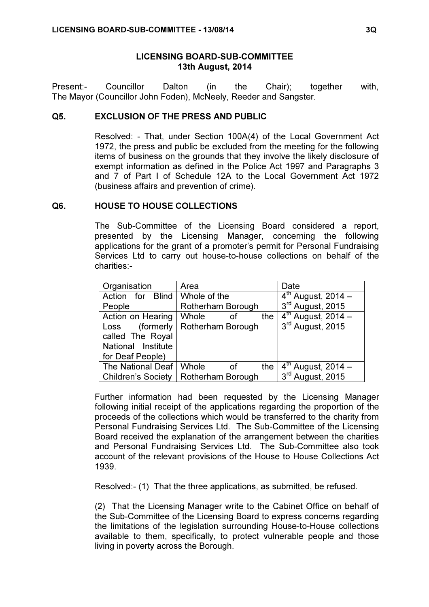### LICENSING BOARD-SUB-COMMITTEE 13th August, 2014

Present:- Councillor Dalton (in the Chair); together with, The Mayor (Councillor John Foden), McNeely, Reeder and Sangster.

# Q5. EXCLUSION OF THE PRESS AND PUBLIC

 Resolved: - That, under Section 100A(4) of the Local Government Act 1972, the press and public be excluded from the meeting for the following items of business on the grounds that they involve the likely disclosure of exempt information as defined in the Police Act 1997 and Paragraphs 3 and 7 of Part I of Schedule 12A to the Local Government Act 1972 (business affairs and prevention of crime).

#### Q6. HOUSE TO HOUSE COLLECTIONS

 The Sub-Committee of the Licensing Board considered a report, presented by the Licensing Manager, concerning the following applications for the grant of a promoter's permit for Personal Fundraising Services Ltd to carry out house-to-house collections on behalf of the charities:-

| Organisation              | Area               | Date                               |
|---------------------------|--------------------|------------------------------------|
| Action for Blind          | Whole of the       | $4th$ August, 2014 –               |
| People                    | Rotherham Borough  | 3rd August, 2015                   |
| Action on Hearing         | Whole<br>the<br>οf | $\overline{4^{th}}$ August, 2014 – |
| (formerly<br>Loss         | Rotherham Borough  | 3rd August, 2015                   |
| called The Royal          |                    |                                    |
| National Institute        |                    |                                    |
| for Deaf People)          |                    |                                    |
| The National Deaf         | Whole<br>the<br>of | $4th$ August, 2014 –               |
| <b>Children's Society</b> | Rotherham Borough  | 3rd August, 2015                   |

Further information had been requested by the Licensing Manager following initial receipt of the applications regarding the proportion of the proceeds of the collections which would be transferred to the charity from Personal Fundraising Services Ltd. The Sub-Committee of the Licensing Board received the explanation of the arrangement between the charities and Personal Fundraising Services Ltd. The Sub-Committee also took account of the relevant provisions of the House to House Collections Act 1939.

Resolved:- (1) That the three applications, as submitted, be refused.

(2) That the Licensing Manager write to the Cabinet Office on behalf of the Sub-Committee of the Licensing Board to express concerns regarding the limitations of the legislation surrounding House-to-House collections available to them, specifically, to protect vulnerable people and those living in poverty across the Borough.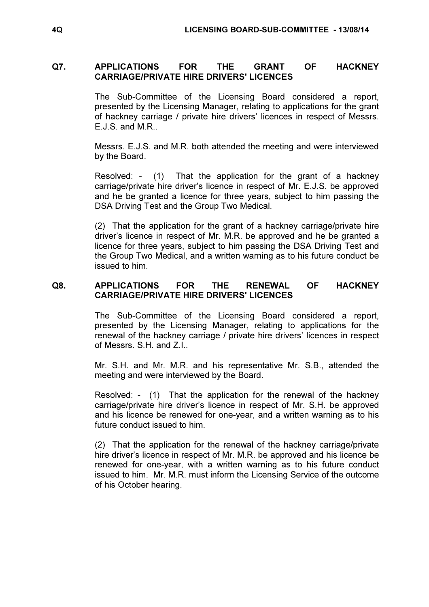# Q7. APPLICATIONS FOR THE GRANT OF HACKNEY CARRIAGE/PRIVATE HIRE DRIVERS' LICENCES

 The Sub-Committee of the Licensing Board considered a report, presented by the Licensing Manager, relating to applications for the grant of hackney carriage / private hire drivers' licences in respect of Messrs. E.J.S. and M.R..

Messrs. E.J.S. and M.R. both attended the meeting and were interviewed by the Board.

Resolved: - (1) That the application for the grant of a hackney carriage/private hire driver's licence in respect of Mr. E.J.S. be approved and he be granted a licence for three years, subject to him passing the DSA Driving Test and the Group Two Medical.

(2) That the application for the grant of a hackney carriage/private hire driver's licence in respect of Mr. M.R. be approved and he be granted a licence for three years, subject to him passing the DSA Driving Test and the Group Two Medical, and a written warning as to his future conduct be issued to him.

# Q8. APPLICATIONS FOR THE RENEWAL OF HACKNEY CARRIAGE/PRIVATE HIRE DRIVERS' LICENCES

 The Sub-Committee of the Licensing Board considered a report, presented by the Licensing Manager, relating to applications for the renewal of the hackney carriage / private hire drivers' licences in respect of Messrs. S.H. and Z.I..

Mr. S.H. and Mr. M.R. and his representative Mr. S.B., attended the meeting and were interviewed by the Board.

Resolved: - (1) That the application for the renewal of the hackney carriage/private hire driver's licence in respect of Mr. S.H. be approved and his licence be renewed for one-year, and a written warning as to his future conduct issued to him.

(2) That the application for the renewal of the hackney carriage/private hire driver's licence in respect of Mr. M.R. be approved and his licence be renewed for one-year, with a written warning as to his future conduct issued to him. Mr. M.R. must inform the Licensing Service of the outcome of his October hearing.